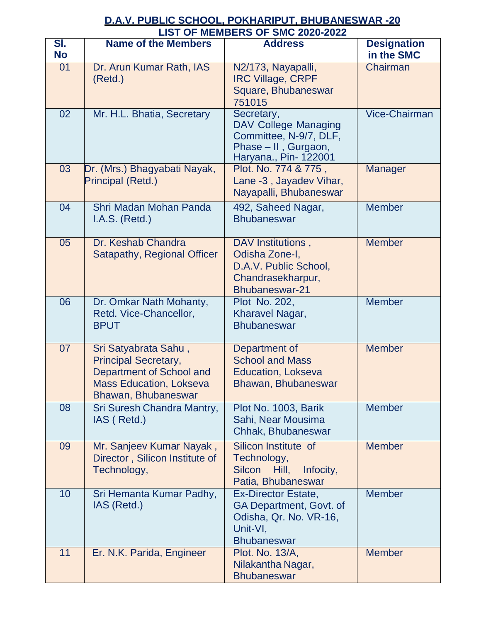## **D.A.V. PUBLIC SCHOOL, POKHARIPUT, BHUBANESWAR -20 LIST OF MEMBERS OF SMC 2020-2022**

| SI.<br><b>No</b> | <b>Name of the Members</b>                                                                                                               | <b>Address</b>                                                                                                       | <b>Designation</b><br>in the SMC |
|------------------|------------------------------------------------------------------------------------------------------------------------------------------|----------------------------------------------------------------------------------------------------------------------|----------------------------------|
| 01               | Dr. Arun Kumar Rath, IAS<br>(Retd.)                                                                                                      | N2/173, Nayapalli,<br><b>IRC Village, CRPF</b><br>Square, Bhubaneswar<br>751015                                      | Chairman                         |
| 02               | Mr. H.L. Bhatia, Secretary                                                                                                               | Secretary,<br><b>DAV College Managing</b><br>Committee, N-9/7, DLF,<br>Phase - II, Gurgaon,<br>Haryana., Pin- 122001 | <b>Vice-Chairman</b>             |
| 03               | Dr. (Mrs.) Bhagyabati Nayak,<br>Principal (Retd.)                                                                                        | Plot. No. 774 & 775,<br>Lane -3, Jayadev Vihar,<br>Nayapalli, Bhubaneswar                                            | <b>Manager</b>                   |
| 04               | Shri Madan Mohan Panda<br>I.A.S. (Retd.)                                                                                                 | 492, Saheed Nagar,<br><b>Bhubaneswar</b>                                                                             | <b>Member</b>                    |
| 05               | Dr. Keshab Chandra<br>Satapathy, Regional Officer                                                                                        | DAV Institutions,<br>Odisha Zone-I,<br>D.A.V. Public School,<br>Chandrasekharpur,<br><b>Bhubaneswar-21</b>           | <b>Member</b>                    |
| 06               | Dr. Omkar Nath Mohanty,<br>Retd. Vice-Chancellor,<br><b>BPUT</b>                                                                         | Plot No. 202,<br>Kharavel Nagar,<br><b>Bhubaneswar</b>                                                               | <b>Member</b>                    |
| 07               | Sri Satyabrata Sahu,<br><b>Principal Secretary,</b><br>Department of School and<br><b>Mass Education, Lokseva</b><br>Bhawan, Bhubaneswar | Department of<br><b>School and Mass</b><br><b>Education, Lokseva</b><br>Bhawan, Bhubaneswar                          | <b>Member</b>                    |
| 08               | Sri Suresh Chandra Mantry,<br>IAS (Retd.)                                                                                                | Plot No. 1003, Barik<br>Sahi, Near Mousima<br>Chhak, Bhubaneswar                                                     | <b>Member</b>                    |
| 09               | Mr. Sanjeev Kumar Nayak,<br>Director, Silicon Institute of<br>Technology,                                                                | Silicon Institute of<br>Technology,<br><b>Silcon</b><br>Hill,<br>Infocity,<br>Patia, Bhubaneswar                     | <b>Member</b>                    |
| 10               | Sri Hemanta Kumar Padhy,<br>IAS (Retd.)                                                                                                  | <b>Ex-Director Estate,</b><br>GA Department, Govt. of<br>Odisha, Qr. No. VR-16,<br>Unit-VI,<br><b>Bhubaneswar</b>    | <b>Member</b>                    |
| 11               | Er. N.K. Parida, Engineer                                                                                                                | Plot. No. 13/A,<br>Nilakantha Nagar,<br><b>Bhubaneswar</b>                                                           | <b>Member</b>                    |